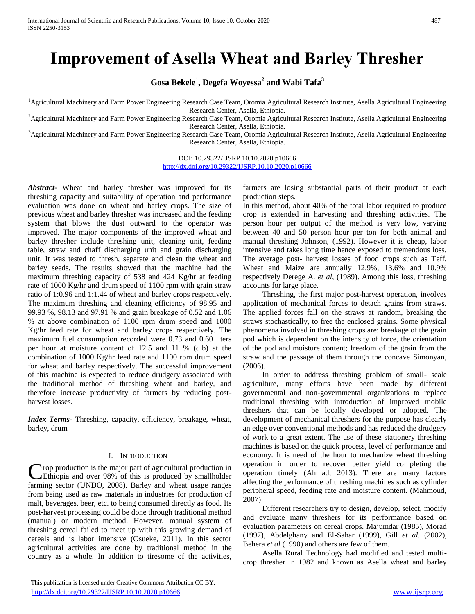# **Improvement of Asella Wheat and Barley Thresher**

**Gosa Bekele<sup>1</sup> , Degefa Woyessa<sup>2</sup> and Wabi Tafa<sup>3</sup>**

<sup>1</sup>Agricultural Machinery and Farm Power Engineering Research Case Team, Oromia Agricultural Research Institute, Asella Agricultural Engineering Research Center, Asella, Ethiopia.

<sup>2</sup>Agricultural Machinery and Farm Power Engineering Research Case Team, Oromia Agricultural Research Institute, Asella Agricultural Engineering Research Center, Asella, Ethiopia.

<sup>3</sup>Agricultural Machinery and Farm Power Engineering Research Case Team, Oromia Agricultural Research Institute, Asella Agricultural Engineering Research Center, Asella, Ethiopia.

> DOI: 10.29322/IJSRP.10.10.2020.p10666 <http://dx.doi.org/10.29322/IJSRP.10.10.2020.p10666>

*Abstract***-** Wheat and barley thresher was improved for its threshing capacity and suitability of operation and performance evaluation was done on wheat and barley crops. The size of previous wheat and barley thresher was increased and the feeding system that blows the dust outward to the operator was improved. The major components of the improved wheat and barley thresher include threshing unit, cleaning unit, feeding table, straw and chaff discharging unit and grain discharging unit. It was tested to thresh, separate and clean the wheat and barley seeds. The results showed that the machine had the maximum threshing capacity of 538 and 424 Kg/hr at feeding rate of 1000 Kg/hr and drum speed of 1100 rpm with grain straw ratio of 1:0.96 and 1:1.44 of wheat and barley crops respectively. The maximum threshing and cleaning efficiency of 98.95 and 99.93 %, 98.13 and 97.91 % and grain breakage of 0.52 and 1.06 % at above combination of 1100 rpm drum speed and 1000 Kg/hr feed rate for wheat and barley crops respectively. The maximum fuel consumption recorded were 0.73 and 0.60 liters per hour at moisture content of 12.5 and 11 % (d.b) at the combination of 1000 Kg/hr feed rate and 1100 rpm drum speed for wheat and barley respectively. The successful improvement of this machine is expected to reduce drudgery associated with the traditional method of threshing wheat and barley, and therefore increase productivity of farmers by reducing postharvest losses.

*Index Terms*- Threshing, capacity, efficiency, breakage, wheat, barley, drum

## I. INTRODUCTION

**Trop production is the major part of agricultural production in** Crop production is the major part of agricultural production in<br>Ethiopia and over 98% of this is produced by smallholder farming sector (UNDO, 2008). Barley and wheat usage ranges from being used as raw materials in industries for production of malt, beverages, beer, etc. to being consumed directly as food. Its post-harvest processing could be done through traditional method (manual) or modern method. However, manual system of threshing cereal failed to meet up with this growing demand of cereals and is labor intensive (Osueke, 2011). In this sector agricultural activities are done by traditional method in the country as a whole. In addition to tiresome of the activities,

farmers are losing substantial parts of their product at each production steps.

In this method, about 40% of the total labor required to produce crop is extended in harvesting and threshing activities. The person hour per output of the method is very low, varying between 40 and 50 person hour per ton for both animal and manual threshing Johnson, (1992). However it is cheap, labor intensive and takes long time hence exposed to tremendous loss. The average post- harvest losses of food crops such as Teff, Wheat and Maize are annually 12.9%, 13.6% and 10.9% respectively Derege A. *et al*, (1989). Among this loss, threshing accounts for large place.

 Threshing, the first major post-harvest operation, involves application of mechanical forces to detach grains from straws. The applied forces fall on the straws at random, breaking the straws stochastically, to free the enclosed grains. Some physical phenomena involved in threshing crops are: breakage of the grain pod which is dependent on the intensity of force, the orientation of the pod and moisture content; freedom of the grain from the straw and the passage of them through the concave Simonyan, (2006).

 In order to address threshing problem of small- scale agriculture, many efforts have been made by different governmental and non-governmental organizations to replace traditional threshing with introduction of improved mobile threshers that can be locally developed or adopted. The development of mechanical threshers for the purpose has clearly an edge over conventional methods and has reduced the drudgery of work to a great extent. The use of these stationery threshing machines is based on the quick process, level of performance and economy. It is need of the hour to mechanize wheat threshing operation in order to recover better yield completing the operation timely (Ahmad, 2013). There are many factors affecting the performance of threshing machines such as cylinder peripheral speed, feeding rate and moisture content. (Mahmoud, 2007)

 Different researchers try to design, develop, select, modify and evaluate many threshers for its performance based on evaluation parameters on cereal crops. Majumdar (1985), Morad (1997), Abdelghany and El-Sahar (1999), Gill *et al*. (2002), Behera *et al* (1990) and others are few of them.

 Asella Rural Technology had modified and tested multicrop thresher in 1982 and known as Asella wheat and barley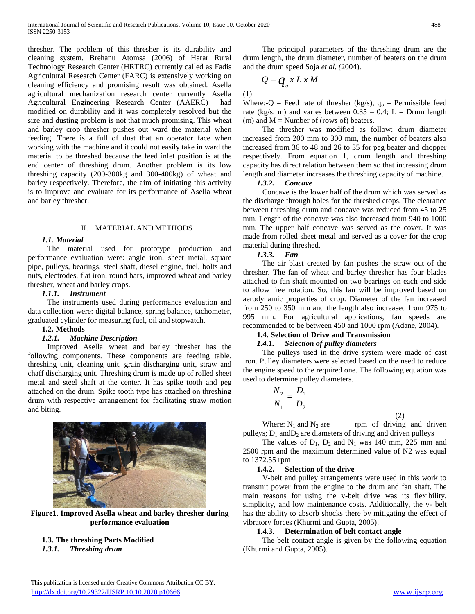thresher. The problem of this thresher is its durability and cleaning system. Brehanu Atomsa (2006) of Harar Rural Technology Research Center (HRTRC) currently called as Fadis Agricultural Research Center (FARC) is extensively working on cleaning efficiency and promising result was obtained. Asella agricultural mechanization research center currently Asella Agricultural Engineering Research Center (AAERC) had modified on durability and it was completely resolved but the size and dusting problem is not that much promising. This wheat and barley crop thresher pushes out ward the material when feeding. There is a full of dust that an operator face when working with the machine and it could not easily take in ward the material to be threshed because the feed inlet position is at the end center of threshing drum. Another problem is its low threshing capacity (200-300kg and 300-400kg) of wheat and barley respectively. Therefore, the aim of initiating this activity is to improve and evaluate for its performance of Asella wheat and barley thresher.

#### II. MATERIAL AND METHODS

#### *1.1. Material*

 The material used for prototype production and performance evaluation were: angle iron, sheet metal, square pipe, pulleys, bearings, steel shaft, diesel engine, fuel, bolts and nuts, electrodes, flat iron, round bars, improved wheat and barley thresher, wheat and barley crops.

### *1.1.1. Instrument*

 The instruments used during performance evaluation and data collection were: digital balance, spring balance, tachometer, graduated cylinder for measuring fuel, oil and stopwatch.

# **1.2. Methods**

#### *1.2.1. Machine Description*

 Improved Asella wheat and barley thresher has the following components. These components are feeding table, threshing unit, cleaning unit, grain discharging unit, straw and chaff discharging unit. Threshing drum is made up of rolled sheet metal and steel shaft at the center. It has spike tooth and peg attached on the drum. Spike tooth type has attached on threshing drum with respective arrangement for facilitating straw motion and biting.



**Figure1. Improved Asella wheat and barley thresher during performance evaluation**

# **1.3. The threshing Parts Modified**

*1.3.1. Threshing drum*

 The principal parameters of the threshing drum are the drum length, the drum diameter, number of beaters on the drum and the drum speed Soja *et al. (*2004).

$$
Q = q_{0} x L x M
$$

(1)

Where:-Q = Feed rate of thresher (kg/s),  $q_0$  = Permissible feed rate (kg/s. m) and varies between  $0.35 - 0.4$ ; L = Drum length (m) and  $M =$  Number of (rows of) beaters.

 The thresher was modified as follow: drum diameter increased from 200 mm to 300 mm, the number of beaters also increased from 36 to 48 and 26 to 35 for peg beater and chopper respectively. From equation 1, drum length and threshing capacity has direct relation between them so that increasing drum length and diameter increases the threshing capacity of machine.

#### *1.3.2. Concave*

 Concave is the lower half of the drum which was served as the discharge through holes for the threshed crops. The clearance between threshing drum and concave was reduced from 45 to 25 mm. Length of the concave was also increased from 940 to 1000 mm. The upper half concave was served as the cover. It was made from rolled sheet metal and served as a cover for the crop material during threshed.

# *1.3.3. Fan*

 The air blast created by fan pushes the straw out of the thresher. The fan of wheat and barley thresher has four blades attached to fan shaft mounted on two bearings on each end side to allow free rotation. So, this fan will be improved based on aerodynamic properties of crop. Diameter of the fan increased from 250 to 350 mm and the length also increased from 975 to 995 mm. For agricultural applications, fan speeds are recommended to be between 450 and 1000 rpm (Adane, 2004).

# **1.4. Selection of Drive and Transmission**

#### *1.4.1. Selection of pulley diameters*

 The pulleys used in the drive system were made of cast iron. Pulley diameters were selected based on the need to reduce the engine speed to the required one. The following equation was used to determine pulley diameters.

$$
\frac{N_2}{N_1} = \frac{D_1}{D_2}
$$

Where:  $N_1$  and  $N_2$  are rpm of driving and driven pulleys;  $D_1$  and  $D_2$  are diameters of driving and driven pulleys

(2)

The values of  $D_1$ ,  $D_2$  and  $N_1$  was 140 mm, 225 mm and 2500 rpm and the maximum determined value of N2 was equal to 1372.55 rpm

## **1.4.2. Selection of the drive**

 V-belt and pulley arrangements were used in this work to transmit power from the engine to the drum and fan shaft. The main reasons for using the v-belt drive was its flexibility, simplicity, and low maintenance costs. Additionally, the v- belt has the ability to absorb shocks there by mitigating the effect of vibratory forces (Khurmi and Gupta, 2005).

#### **1.4.3. Determination of belt contact angle**

 The belt contact angle is given by the following equation (Khurmi and Gupta, 2005).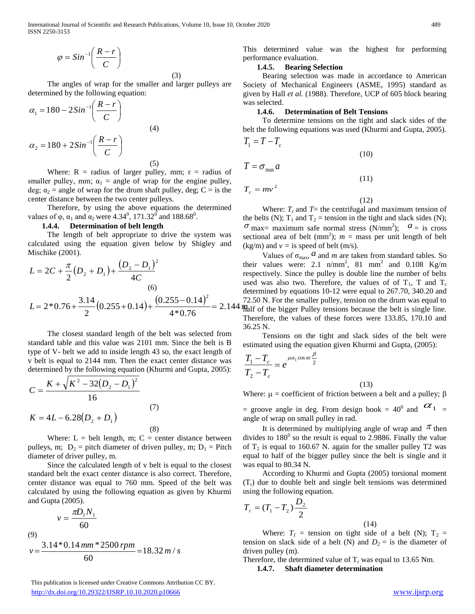International Journal of Scientific and Research Publications, Volume 10, Issue 10, October 2020 489 ISSN 2250-3153

$$
\varphi = \mathit{Sin}^{-1}\left(\frac{R-r}{C}\right)
$$

(3)

 The angles of wrap for the smaller and larger pulleys are determined by the following equation:

$$
\alpha_1 = 180 - 2Sin^{-1}\left(\frac{R-r}{C}\right)
$$
  
\n
$$
\alpha_2 = 180 + 2Sin^{-1}\left(\frac{R-r}{C}\right)
$$
\n(4)

Where:  $R =$  radius of larger pulley, mm;  $r =$  radius of smaller pulley, mm;  $\alpha_1$  = angle of wrap for the engine pulley, deg;  $\alpha_2$  = angle of wrap for the drum shaft pulley, deg; C = is the center distance between the two center pulleys.

 Therefore, by using the above equations the determined values of  $\varphi$ ,  $\alpha_1$  and  $\alpha_2$  were 4.34<sup>0</sup>, 171.32<sup>0</sup> and 188.68<sup>0</sup>.

# **1.4.4. Determination of belt length**

 The length of belt appropriate to drive the system was calculated using the equation given below by Shigley and Mischike (2001).

$$
L = 2C + \frac{\pi}{2}(D_2 + D_1) + \frac{(D_2 - D_1)^2}{4C}
$$
the  
(6)  

$$
L = 2*0.76 + \frac{3.14}{2}(0.255 + 0.14) + \frac{(0.255 - 0.14)^2}{4*0.76} = 2.144 \frac{77}{112}
$$

 The closest standard length of the belt was selected from standard table and this value was 2101 mm. Since the belt is B type of V- belt we add to inside length 43 so, the exact length of v belt is equal to 2144 mm. Then the exact center distance was determined by the following equation (Khurmi and Gupta, 2005):

$$
C = \frac{K + \sqrt{K^2 - 32(D_2 - D_1)^2}}{16}
$$
  
(7)  

$$
K = 4L - 6.28(D_2 + D_1)
$$
 (8)

Where:  $L = \text{belt length}, \, \text{m}; \, C = \text{center distance between}$ pulleys, m;  $D_2$  = pitch diameter of driven pulley, m;  $D_1$  = Pitch diameter of driver pulley, m.

 Since the calculated length of v belt is equal to the closest standard belt the exact center distance is also correct. Therefore, center distance was equal to 760 mm. Speed of the belt was calculated by using the following equation as given by Khurmi and Gupta (2005).

$$
v = \frac{\pi D_1 N_1}{60}
$$
  
(9)  

$$
v = \frac{3.14 \times 0.14 \, \text{mm} \times 2500 \, \text{rpm}}{60} = 18.32 \, \text{m/s}
$$

This publication is licensed under Creative Commons Attribution CC BY.

This determined value was the highest for performing performance evaluation.

#### **1.4.5. Bearing Selection**

 Bearing selection was made in accordance to American Society of Mechanical Engineers (ASME, 1995) standard as given by Hall *et al.* (1988). Therefore, UCP of 605 block bearing was selected.

#### **1.4.6. Determination of Belt Tensions**

 To determine tensions on the tight and slack sides of the belt the following equations was used (Khurmi and Gupta, 2005).  $T_1 = T - T_c$ 

$$
\begin{array}{c}\n\cdot \\
\cdot \\
\cdot\n\end{array}
$$

 $T = \sigma_{\text{max}} a$ 

 $T_c = mv^2$ 

(12)

(11)

(10)

Where:  $T_c$  and  $T =$  the centrifugal and maximum tension of the belts (N);  $T_1$  and  $T_2$  = tension in the tight and slack sides (N);  $\sigma$  max= maximum safe normal stress (N/mm<sup>2</sup>);  $a =$  is cross sectional area of belt  $(mm^2)$ ;  $m =$  mass per unit length of belt  $(kg/m)$  and  $v =$  is speed of belt (m/s).

 $\varphi = 35\pi \left(\frac{1-\epsilon}{\epsilon}\right)$ <br>
The aggre of separation and large policy are  $\epsilon$ . Section and large policy are  $\epsilon$  the second of the second of the second of the second of the second of the second of the second of the second Values of  $\sigma_{\text{max}}$ , *a* and *m* are taken from standard tables. So their values were: 2.1  $n/mm^2$ , 81 mm<sup>2</sup> and 0.108 Kg/m respectively. Since the pulley is double line the number of belts used was also two. Therefore, the values of of  $T_1$ , T and  $T_c$ determined by equations 10-12 were equal to 267.70, 340.20 and 72.50 N. For the smaller pulley, tension on the drum was equal to  $4$  Malf of the bigger Pulley tensions because the belt is single line. Therefore, the values of these forces were 133.85, 170.10 and 36.25 N.

 Tensions on the tight and slack sides of the belt were estimated using the equation given Khurmi and Gupta, (2005):

$$
\frac{T_1 - T_c}{T_2 - T_c} = e^{\mu \alpha_1 \cos ec \frac{\beta}{2}}
$$
\n(13)

Where:  $\mu$  = coefficient of friction between a belt and a pulley;  $\beta$ 

= groove angle in deg. From design book = 40<sup>0</sup> and  $\alpha_1$  = angle of wrap on small pulley in rad.

It is determined by multiplying angle of wrap and  $\pi$  then divides to  $180^{\circ}$  so the result is equal to 2.9886. Finally the value of  $T_2$  is equal to 160.67 N. again for the smaller pulley T2 was equal to half of the bigger pulley since the belt is single and it was equal to 80.34 N.

 According to Khurmi and Gupta (2005) torsional moment  $(T_r)$  due to double belt and single belt tensions was determined using the following equation.

$$
T_r = (T_1 - T_2) \frac{D_2}{2}
$$

Where:  $T_1$  = tension on tight side of a belt (N);  $T_2$  = tension on slack side of a belt (N) and  $D_2$  = is the diameter of driven pulley (m).

(14)

Therefore, the determined value of  $T_r$  was equal to 13.65 Nm.

**1.4.7. Shaft diameter determination**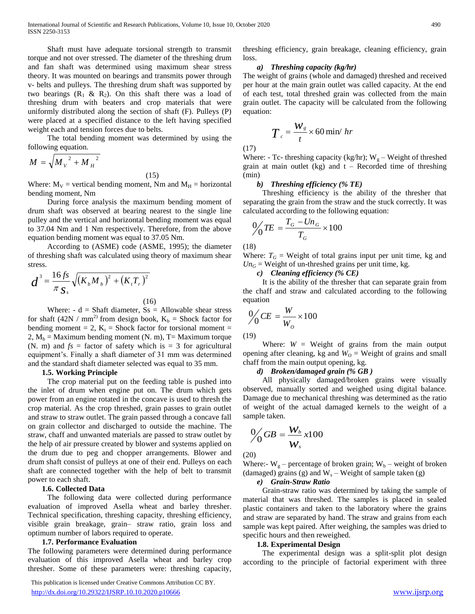Shaft must have adequate torsional strength to transmit torque and not over stressed. The diameter of the threshing drum and fan shaft was determined using maximum shear stress theory. It was mounted on bearings and transmits power through v- belts and pulleys. The threshing drum shaft was supported by two bearings  $(R_1 \& R_2)$ . On this shaft there was a load of threshing drum with beaters and crop materials that were uniformly distributed along the section of shaft (F). Pulleys (P) were placed at a specified distance to the left having specified weight each and tension forces due to belts.

 The total bending moment was determined by using the following equation.

$$
M = \sqrt{{M_V}^2 + {M_H}^2}
$$

(15)

Where:  $M_V$  = vertical bending moment, Nm and  $M_H$  = horizontal bending moment, Nm

 During force analysis the maximum bending moment of drum shaft was observed at bearing nearest to the single line pulley and the vertical and horizontal bending moment was equal to 37.04 Nm and 1 Nm respectively. Therefore, from the above equation bending moment was equal to 37.05 Nm.

 According to (ASME) code (ASME, 1995); the diameter of threshing shaft was calculated using theory of maximum shear stress.

$$
d^{3} = \frac{16 \, fs}{\pi \, S_{s}} \sqrt{(K_{b} M_{b})^{2} + (K_{t} T_{r})^{2}}
$$
\n(16)

Where:  $-d = Shaff diameter, Ss = Allowable shear stress$ for shaft (42N / mm<sup>2)</sup> from design book,  $K_b$  = Shock factor for bending moment = 2,  $K_t$  = Shock factor for torsional moment = 2,  $M_b$  = Maximum bending moment (N. m), T = Maximum torque (N. m) and  $fs =$  factor of safety which is  $= 3$  for agricultural equipment's. Finally a shaft diameter of 31 mm was determined and the standard shaft diameter selected was equal to 35 mm.

#### **1.5. Working Principle**

 The crop material put on the feeding table is pushed into the inlet of drum when engine put on. The drum which gets power from an engine rotated in the concave is used to thresh the crop material. As the crop threshed, grain passes to grain outlet and straw to straw outlet. The grain passed through a concave fall on grain collector and discharged to outside the machine. The straw, chaff and unwanted materials are passed to straw outlet by the help of air pressure created by blower and systems applied on the drum due to peg and chopper arrangements. Blower and drum shaft consist of pulleys at one of their end. Pulleys on each shaft are connected together with the help of belt to transmit power to each shaft.

#### **1.6. Collected Data**

 The following data were collected during performance evaluation of improved Asella wheat and barley thresher. Technical specification, threshing capacity, threshing efficiency, visible grain breakage, grain– straw ratio, grain loss and optimum number of labors required to operate.

#### **1.7. Performance Evaluation**

The following parameters were determined during performance evaluation of this improved Asella wheat and barley crop thresher. Some of these parameters were: threshing capacity,

 This publication is licensed under Creative Commons Attribution CC BY. <http://dx.doi.org/10.29322/IJSRP.10.10.2020.p10666> [www.ijsrp.org](http://ijsrp.org/)

threshing efficiency, grain breakage, cleaning efficiency, grain loss.

### *a) Threshing capacity (kg/hr)*

The weight of grains (whole and damaged) threshed and received per hour at the main grain outlet was called capacity. At the end of each test, total threshed grain was collected from the main grain outlet. The capacity will be calculated from the following equation:

$$
T_c = \frac{W_s}{t} \times 60 \text{ min/ hr}
$$

(17)

Where: - Tc- threshing capacity (kg/hr);  $W_g$  – Weight of threshed grain at main outlet (kg) and  $t$  – Recorded time of threshing (min)

#### *b) Threshing efficiency (% TE)*

 Threshing efficiency is the ability of the thresher that separating the grain from the straw and the stuck correctly. It was calculated according to the following equation:

$$
\frac{0}{\sqrt{TE}} = \frac{T_G - Un_G}{T_G} \times 100
$$

(18)

Where:  $T_G$  = Weight of total grains input per unit time, kg and  $Un<sub>G</sub>$  = Weight of un-threshed grains per unit time, kg.

### *c) Cleaning efficiency (% CE)*

 It is the ability of the thresher that can separate grain from the chaff and straw and calculated according to the following equation

$$
\frac{0}{\sqrt{C}}E = \frac{W}{W_o} \times 100
$$

(19)

Where:  $W =$  Weight of grains from the main output opening after cleaning, kg and  $W<sub>O</sub>$  = Weight of grains and small chaff from the main output opening, kg.

#### *d) Broken/damaged grain (% GB )*

 All physically damaged/broken grains were visually observed, manually sorted and weighed using digital balance. Damage due to mechanical threshing was determined as the ratio of weight of the actual damaged kernels to the weight of a sample taken.

$$
\frac{0}{\sqrt{G}}GB = \frac{W_b}{W_s}x100
$$

(20)

Where:-  $W_g$  – percentage of broken grain;  $W_b$  – weight of broken (damaged) grains (g) and  $W_s$  – Weight of sample taken (g)

## *e) Grain-Straw Ratio*

 Grain-straw ratio was determined by taking the sample of material that was threshed. The samples is placed in sealed plastic containers and taken to the laboratory where the grains and straw are separated by hand. The straw and grains from each sample was kept paired. After weighing, the samples was dried to specific hours and then reweighed.

#### **1.8. Experimental Design**

 The experimental design was a split-split plot design according to the principle of factorial experiment with three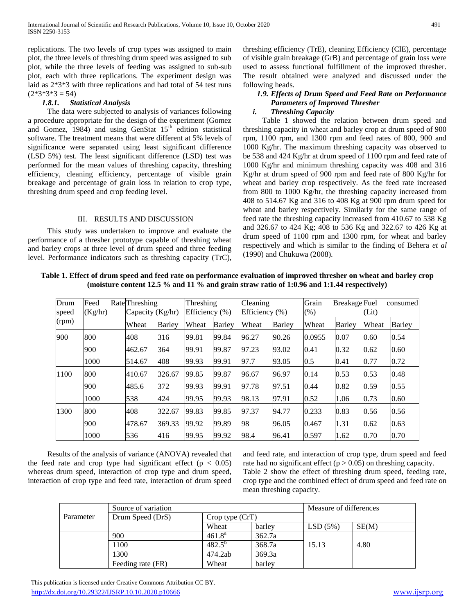replications. The two levels of crop types was assigned to main plot, the three levels of threshing drum speed was assigned to sub plot, while the three levels of feeding was assigned to sub-sub plot, each with three replications. The experiment design was laid as 2\*3\*3 with three replications and had total of 54 test runs  $(2*3*3*3=54)$ 

#### *1.8.1. Statistical Analysis*

 The data were subjected to analysis of variances following a procedure appropriate for the design of the experiment (Gomez and Gomez,  $1984$ ) and using GenStat  $15<sup>th</sup>$  edition statistical software. The treatment means that were different at 5% levels of significance were separated using least significant difference (LSD 5%) test. The least significant difference (LSD) test was performed for the mean values of threshing capacity, threshing efficiency, cleaning efficiency, percentage of visible grain breakage and percentage of grain loss in relation to crop type, threshing drum speed and crop feeding level.

#### III. RESULTS AND DISCUSSION

 This study was undertaken to improve and evaluate the performance of a thresher prototype capable of threshing wheat and barley crops at three level of drum speed and three feeding level. Performance indicators such as threshing capacity (TrC), threshing efficiency (TrE), cleaning Efficiency (ClE), percentage of visible grain breakage (GrB) and percentage of grain loss were used to assess functional fulfillment of the improved thresher. The result obtained were analyzed and discussed under the following heads.

# *1.9. Effects of Drum Speed and Feed Rate on Performance Parameters of Improved Thresher*

#### *i. Threshing Capacity*

 Table 1 showed the relation between drum speed and threshing capacity in wheat and barley crop at drum speed of 900 rpm, 1100 rpm, and 1300 rpm and feed rates of 800, 900 and 1000 Kg/hr. The maximum threshing capacity was observed to be 538 and 424 Kg/hr at drum speed of 1100 rpm and feed rate of 1000 Kg/hr and minimum threshing capacity was 408 and 316 Kg/hr at drum speed of 900 rpm and feed rate of 800 Kg/hr for wheat and barley crop respectively. As the feed rate increased from 800 to 1000 Kg/hr, the threshing capacity increased from 408 to 514.67 Kg and 316 to 408 Kg at 900 rpm drum speed for wheat and barley respectively. Similarly for the same range of feed rate the threshing capacity increased from 410.67 to 538 Kg and 326.67 to 424 Kg; 408 to 536 Kg and 322.67 to 426 Kg at drum speed of 1100 rpm and 1300 rpm, for wheat and barley respectively and which is similar to the finding of Behera *et al* (1990) and Chukuwa (2008).

**Table 1. Effect of drum speed and feed rate on performance evaluation of improved thresher on wheat and barley crop (moisture content 12.5 % and 11 % and grain straw ratio of 1:0.96 and 1:1.44 respectively)**

| Drum<br>speed | Feed<br>(Kg/hr) | Rate Threshing<br>Capacity $(Kg/hr)$ |               | Threshing<br>Efficiency $(\% )$ |               | Cleaning<br>Efficiency (%) |               | Grain<br>(% ) | <b>Breakage</b> Fuel | (Lit) | consumed      |
|---------------|-----------------|--------------------------------------|---------------|---------------------------------|---------------|----------------------------|---------------|---------------|----------------------|-------|---------------|
| (rpm)         |                 | Wheat                                | <b>Barley</b> | Wheat                           | <b>Barley</b> | Wheat                      | <b>Barley</b> | Wheat         | Barley               | Wheat | <b>Barley</b> |
| 900           | 800             | 408                                  | 316           | 99.81                           | 99.84         | 96.27                      | 90.26         | 0.0955        | 0.07                 | 0.60  | 0.54          |
|               | 900             | 462.67                               | 364           | 99.91                           | 99.87         | 97.23                      | 93.02         | 0.41          | 0.32                 | 0.62  | 0.60          |
|               | 1000            | 514.67                               | 408           | 99.93                           | 99.91         | 97.7                       | 93.05         | 0.5           | 0.41                 | 0.77  | 0.72          |
| 1100          | 800             | 410.67                               | 326.67        | 99.85                           | 99.87         | 96.67                      | 96.97         | 0.14          | 0.53                 | 0.53  | 0.48          |
|               | 900             | 485.6                                | 372           | 99.93                           | 99.91         | 97.78                      | 97.51         | 0.44          | 0.82                 | 0.59  | 0.55          |
|               | 1000            | 538                                  | 424           | 99.95                           | 99.93         | 98.13                      | 97.91         | 0.52          | 1.06                 | 0.73  | 0.60          |
| 1300          | 800             | 408                                  | 322.67        | 99.83                           | 99.85         | 97.37                      | 94.77         | 0.233         | 0.83                 | 0.56  | 0.56          |
|               | 900             | 478.67                               | 369.33        | 99.92                           | 99.89         | 98                         | 96.05         | 0.467         | 1.31                 | 0.62  | 0.63          |
|               | 1000            | 536                                  | 416           | 99.95                           | 99.92         | 98.4                       | 96.41         | 0.597         | 1.62                 | 0.70  | 0.70          |

 Results of the analysis of variance (ANOVA) revealed that the feed rate and crop type had significant effect ( $p < 0.05$ ) whereas drum speed, interaction of crop type and drum speed, interaction of crop type and feed rate, interaction of drum speed

and feed rate, and interaction of crop type, drum speed and feed rate had no significant effect ( $p > 0.05$ ) on threshing capacity. Table 2 show the effect of threshing drum speed, feeding rate, crop type and the combined effect of drum speed and feed rate on mean threshing capacity.

|           | Source of variation |                    |        | Measure of differences |       |  |
|-----------|---------------------|--------------------|--------|------------------------|-------|--|
| Parameter | Drum Speed (DrS)    | Crop type (CrT)    |        |                        |       |  |
|           |                     | Wheat              | barley | LSD(5%)                | SE(M) |  |
|           | 900                 | 461.8 <sup>a</sup> | 362.7a |                        |       |  |
|           | 1100                | $482.5^{b}$        | 368.7a | 15.13                  | 4.80  |  |
|           | 1300                | 474.2ab            | 369.3a |                        |       |  |
|           | Feeding rate (FR)   | Wheat              | barley |                        |       |  |

 This publication is licensed under Creative Commons Attribution CC BY. <http://dx.doi.org/10.29322/IJSRP.10.10.2020.p10666> [www.ijsrp.org](http://ijsrp.org/)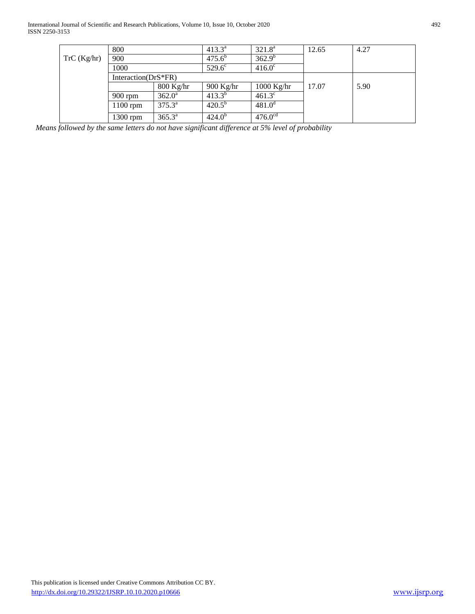International Journal of Scientific and Research Publications, Volume 10, Issue 10, October 2020 492 ISSN 2250-3153

|            | 800                     |                 | $413.3^a$       | $321.8^a$       | 12.65 | 4.27 |
|------------|-------------------------|-----------------|-----------------|-----------------|-------|------|
| TrC(Kg/hr) | 900                     |                 | $475.6^b$       | $362.9^{b}$     |       |      |
|            | 1000                    |                 | $529.6^{\circ}$ | $416.0^{\circ}$ |       |      |
|            | Interaction( $DrS*FR$ ) |                 |                 |                 |       |      |
|            |                         | $800$ Kg/hr     | $900$ Kg/hr     | $1000$ Kg/hr    | 17.07 | 5.90 |
|            | $900$ rpm               | $362.0^{\circ}$ | $413.3^{b}$     | $461.3^{\circ}$ |       |      |
|            | $1100$ rpm              | $375.3^{\circ}$ | $420.5^{b}$     | $481.0^{\circ}$ |       |      |
|            | 1300 rpm                | $365.3^{\circ}$ | $424.0^b$       | $476.0^{cd}$    |       |      |

 *Means followed by the same letters do not have significant difference at 5% level of probability*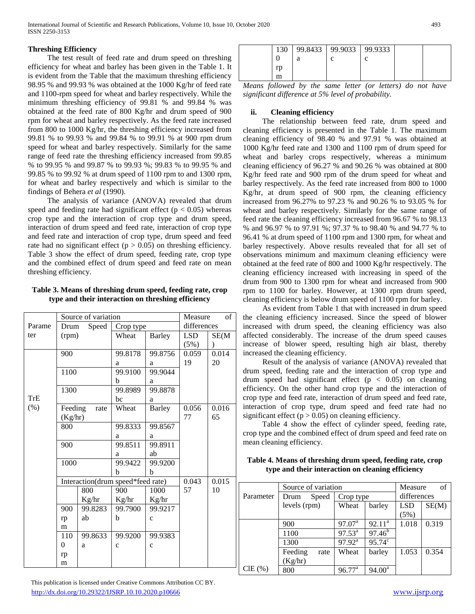# **Threshing Efficiency**

 The test result of feed rate and drum speed on threshing efficiency for wheat and barley has been given in the Table 1. It is evident from the Table that the maximum threshing efficiency 98.95 % and 99.93 % was obtained at the 1000 Kg/hr of feed rate and 1100-rpm speed for wheat and barley respectively. While the minimum threshing efficiency of 99.81 % and 99.84 % was obtained at the feed rate of 800 Kg/hr and drum speed of 900 rpm for wheat and barley respectively. As the feed rate increased from 800 to 1000 Kg/hr, the threshing efficiency increased from 99.81 % to 99.93 % and 99.84 % to 99.91 % at 900 rpm drum speed for wheat and barley respectively. Similarly for the same range of feed rate the threshing efficiency increased from 99.85 % to 99.95 % and 99.87 % to 99.93 %; 99.83 % to 99.95 % and 99.85 % to 99.92 % at drum speed of 1100 rpm to and 1300 rpm, for wheat and barley respectively and which is similar to the findings of Behera *et al* (1990).

 The analysis of variance (ANOVA) revealed that drum speed and feeding rate had significant effect ( $p < 0.05$ ) whereas crop type and the interaction of crop type and drum speed, interaction of drum speed and feed rate, interaction of crop type and feed rate and interaction of crop type, drum speed and feed rate had no significant effect ( $p > 0.05$ ) on threshing efficiency. Table 3 show the effect of drum speed, feeding rate, crop type and the combined effect of drum speed and feed rate on mean threshing efficiency.

# **Table 3. Means of threshing drum speed, feeding rate, crop type and their interaction on threshing efficiency**

|            |                | Source of variation               |              |               | Measure | of          |
|------------|----------------|-----------------------------------|--------------|---------------|---------|-------------|
| Parame     | Drum           | Speed                             |              | Crop type     |         | differences |
| ter        | (rpm)          |                                   | Wheat        | <b>Barley</b> | LSD.    | SE(M)       |
|            |                |                                   |              |               | (5%)    |             |
|            | 900            |                                   | 99.8178      | 99.8756       | 0.059   | 0.014       |
|            |                |                                   | a            | a             | 19      | 20          |
|            | 1100           |                                   | 99.9100      | 99.9044       |         |             |
|            |                |                                   | b            | a             |         |             |
|            | 1300           |                                   | 99.8989      | 99.8878       |         |             |
| <b>TrE</b> |                |                                   | bc           | a             |         |             |
| (% )       | Feeding        | rate                              | Wheat        | <b>Barley</b> | 0.056   | 0.016       |
|            | (Kg/hr)        |                                   |              |               | 77      | 65          |
|            | 800            |                                   | 99.8333      | 99.8567       |         |             |
|            |                |                                   | a            | a             |         |             |
|            | 900            |                                   | 99.8511      | 99.8911       |         |             |
|            |                |                                   | a            | ab            |         |             |
|            | 1000           |                                   | 99.9422      | 99.9200       |         |             |
|            |                |                                   | h            | b             |         |             |
|            |                | Interaction(drum speed*feed rate) |              |               | 0.043   | 0.015       |
|            |                | 800                               | 900          | 1000          | 57      | 10          |
|            |                | Kg/hr                             | Kg/hr        | Kg/hr         |         |             |
|            | 900            | 99.8283                           | 99.7900      | 99.9217       |         |             |
|            | rp             | ab                                | b            | $\mathbf{C}$  |         |             |
|            | m              |                                   |              |               |         |             |
|            | 110            | 99.8633                           | 99.9200      | 99.9383       |         |             |
|            | $\overline{0}$ | a                                 | $\mathbf{C}$ | $\mathbf c$   |         |             |
|            | rp             |                                   |              |               |         |             |
|            | m              |                                   |              |               |         |             |

| 130 |   | 99.8433   99.9033   99.9333 |  |  |
|-----|---|-----------------------------|--|--|
|     | a |                             |  |  |
| rp  |   |                             |  |  |
| m   |   |                             |  |  |

*Means followed by the same letter (or letters) do not have significant difference at 5% level of probability.*

# **ii. Cleaning efficiency**

The relationship between feed rate, drum speed and cleaning efficiency is presented in the Table 1. The maximum cleaning efficiency of 98.40 % and 97.91 % was obtained at 1000 Kg/hr feed rate and 1300 and 1100 rpm of drum speed for wheat and barley crops respectively, whereas a minimum cleaning efficiency of 96.27 % and 90.26 % was obtained at 800 Kg/hr feed rate and 900 rpm of the drum speed for wheat and barley respectively. As the feed rate increased from 800 to 1000 Kg/hr, at drum speed of 900 rpm, the cleaning efficiency increased from 96.27% to 97.23 % and 90.26 % to 93.05 % for wheat and barley respectively. Similarly for the same range of feed rate the cleaning efficiency increased from 96.67 % to 98.13 % and 96.97 % to 97.91 %; 97.37 % to 98.40 % and 94.77 % to 96.41 % at drum speed of 1100 rpm and 1300 rpm, for wheat and barley respectively. Above results revealed that for all set of observations minimum and maximum cleaning efficiency were obtained at the feed rate of 800 and 1000 Kg/hr respectively. The cleaning efficiency increased with increasing in speed of the drum from 900 to 1300 rpm for wheat and increased from 900 rpm to 1100 for barley. However, at 1300 rpm drum speed, cleaning efficiency is below drum speed of 1100 rpm for barley.

As evident from Table 1 that with increased in drum speed the cleaning efficiency increased. Since the speed of blower increased with drum speed, the cleaning efficiency was also affected considerably. The increase of the drum speed causes increase of blower speed, resulting high air blast, thereby increased the cleaning efficiency.

Result of the analysis of variance (ANOVA) revealed that drum speed, feeding rate and the interaction of crop type and drum speed had significant effect  $(p < 0.05)$  on cleaning efficiency. On the other hand crop type and the interaction of crop type and feed rate, interaction of drum speed and feed rate, interaction of crop type, drum speed and feed rate had no significant effect ( $p > 0.05$ ) on cleaning efficiency.

Table 4 show the effect of cylinder speed, feeding rate, crop type and the combined effect of drum speed and feed rate on mean cleaning efficiency.

# **Table 4. Means of threshing drum speed, feeding rate, crop type and their interaction on cleaning efficiency**

|           | Source of variation |                    |                 | Measure     | of    |
|-----------|---------------------|--------------------|-----------------|-------------|-------|
| Parameter | Speed<br>Drum       | Crop type          |                 | differences |       |
|           | levels (rpm)        | Wheat              | barley          | LSD         | SE(M) |
|           |                     |                    |                 | (5%)        |       |
|           | 900                 | $97.07^{\text{a}}$ | $92.11^a$       | 1.018       | 0.319 |
|           | 1100                | $97.53^{\text{a}}$ | $97.46^{b}$     |             |       |
|           | 1300                | $97.92^{\text{a}}$ | $95.74^c$       |             |       |
|           | Feeding<br>rate     | Wheat              | barley          | 1.053       | 0.354 |
|           | (Kg/hr)             |                    |                 |             |       |
| $CIE$ (%) | 800                 | $96.77^{\text{a}}$ | $94.00^{\rm a}$ |             |       |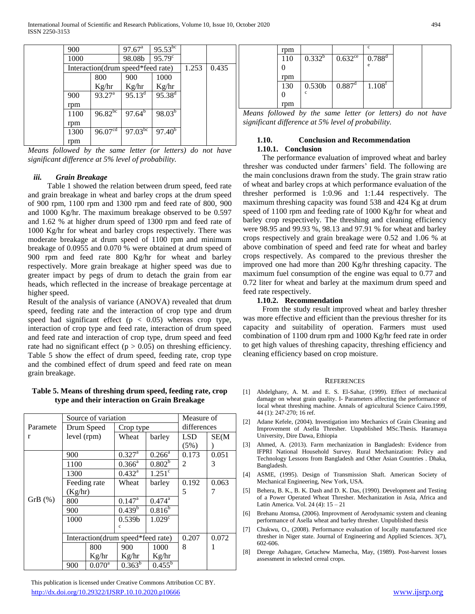| 900  |                                   | $97.67^{\text{a}}$ | $95.53^{b c}$        |       |       |  |
|------|-----------------------------------|--------------------|----------------------|-------|-------|--|
| 1000 |                                   | 98.08b             | $95.79^{\circ}$      |       |       |  |
|      | Interaction(drum speed*feed rate) |                    |                      | 1.253 | 0.435 |  |
|      | 800                               | 900                | 1000                 |       |       |  |
|      | Kg/hr                             | Kg/hr              | Kg/hr                |       |       |  |
| 900  | $93.27^{\text{a}}$                | $95.13^d$          | $95.38^{d}$          |       |       |  |
| rpm  |                                   |                    |                      |       |       |  |
| 1100 | $96.82^{bc}$                      | $97.64^{b}$        | $98.03^{b}$          |       |       |  |
| rpm  |                                   |                    |                      |       |       |  |
| 1300 | 96.07 <sup>cd</sup>               | $97.03^{bc}$       | $97.\overline{40^b}$ |       |       |  |
| rpm  |                                   |                    |                      |       |       |  |

*Means followed by the same letter (or letters) do not have significant difference at 5% level of probability.*

## *iii. Grain Breakage*

Table 1 showed the relation between drum speed, feed rate and grain breakage in wheat and barley crops at the drum speed of 900 rpm, 1100 rpm and 1300 rpm and feed rate of 800, 900 and 1000 Kg/hr. The maximum breakage observed to be 0.597 and 1.62 % at higher drum speed of 1300 rpm and feed rate of 1000 Kg/hr for wheat and barley crops respectively. There was moderate breakage at drum speed of 1100 rpm and minimum breakage of 0.0955 and 0.070 % were obtained at drum speed of 900 rpm and feed rate 800 Kg/hr for wheat and barley respectively. More grain breakage at higher speed was due to greater impact by pegs of drum to detach the grain from ear heads, which reflected in the increase of breakage percentage at higher speed.

Result of the analysis of variance (ANOVA) revealed that drum speed, feeding rate and the interaction of crop type and drum speed had significant effect  $(p < 0.05)$  whereas crop type, interaction of crop type and feed rate, interaction of drum speed and feed rate and interaction of crop type, drum speed and feed rate had no significant effect ( $p > 0.05$ ) on threshing efficiency. Table 5 show the effect of drum speed, feeding rate, crop type and the combined effect of drum speed and feed rate on mean grain breakage.

# **Table 5. Means of threshing drum speed, feeding rate, crop type and their interaction on Grain Breakage**

|          |             | Source of variation |                                   |                        | Measure of     |       |
|----------|-------------|---------------------|-----------------------------------|------------------------|----------------|-------|
| Paramete |             | Drum Speed          | Crop type                         |                        | differences    |       |
| r        | level (rpm) |                     | Wheat                             | barley                 | <b>LSD</b>     | SE(M) |
|          |             |                     |                                   |                        | (5%)           |       |
|          | 900         |                     | $0.327^{\overline{a}}$            | $0.266^{\overline{a}}$ | 0.173          | 0.051 |
|          | 1100        |                     | $0.366^{\rm a}$                   | $0.802^{\overline{b}}$ | $\mathfrak{D}$ | 3     |
|          | 1300        |                     | $0.432^{\rm a}$                   | $1.251$ <sup>c</sup>   |                |       |
|          |             | Feeding rate        | Wheat                             | barley                 | 0.192          | 0.063 |
|          | (Kg/hr)     |                     |                                   |                        | 5              |       |
| GrB(%)   | 800         |                     | $0.147^{\rm a}$                   | $0.474^{\text{a}}$     |                |       |
|          | 900         |                     | $0.439^{b}$                       | $0.816^{b}$            |                |       |
|          | 1000        |                     | 0.539 <sub>b</sub>                | 1.029 <sup>c</sup>     |                |       |
|          |             |                     | c                                 |                        |                |       |
|          |             |                     | Interaction(drum speed*feed rate) |                        | 0.207          | 0.072 |
|          |             | 800                 | 900                               | 1000                   | 8              |       |
|          |             | Kg/hr               | Kg/hr                             | Kg/hr                  |                |       |
|          | 900         | $0.070^{\text{a}}$  | $0.363^{b}$                       | $0.455^{\rm b}$        |                |       |

 This publication is licensed under Creative Commons Attribution CC BY. <http://dx.doi.org/10.29322/IJSRP.10.10.2020.p10666> [www.ijsrp.org](http://ijsrp.org/)

| rpm |                    |                      | c                    |  |
|-----|--------------------|----------------------|----------------------|--|
| 110 | $0.332^{b}$        | $0.632^{\text{ce}}$  | $0.788^{d}$          |  |
|     |                    |                      | e                    |  |
| rpm |                    |                      |                      |  |
| 130 | 0.530 <sub>b</sub> | $0.887$ <sup>d</sup> | $1.108$ <sup>T</sup> |  |
|     | c                  |                      |                      |  |
| rpm |                    |                      |                      |  |

*Means followed by the same letter (or letters) do not have significant difference at 5% level of probability.*

# **1.10. Conclusion and Recommendation 1.10.1. Conclusion**

The performance evaluation of improved wheat and barley thresher was conducted under farmers' field. The following are the main conclusions drawn from the study. The grain straw ratio of wheat and barley crops at which performance evaluation of the thresher performed is 1:0.96 and 1:1.44 respectively. The maximum threshing capacity was found 538 and 424 Kg at drum speed of 1100 rpm and feeding rate of 1000 Kg/hr for wheat and barley crop respectively. The threshing and cleaning efficiency were 98.95 and 99.93 %, 98.13 and 97.91 % for wheat and barley crops respectively and grain breakage were 0.52 and 1.06 % at above combination of speed and feed rate for wheat and barley crops respectively. As compared to the previous thresher the improved one had more than 200 Kg/hr threshing capacity. The maximum fuel consumption of the engine was equal to 0.77 and 0.72 liter for wheat and barley at the maximum drum speed and feed rate respectively.

#### **1.10.2. Recommendation**

From the study result improved wheat and barley thresher was more effective and efficient than the previous thresher for its capacity and suitability of operation. Farmers must used combination of 1100 drum rpm and 1000 Kg/hr feed rate in order to get high values of threshing capacity, threshing efficiency and cleaning efficiency based on crop moisture.

#### REFERENCES

- [1] Abdelghany, A. M. and E. S. El-Sahar, (1999). Effect of mechanical damage on wheat grain quality. I- Parameters affecting the performance of local wheat threshing machine. Annals of agricultural Science Cairo.1999, 44 (1): 247-270; 16 ref.
- [2] Adane Kefele, (2004). Investigation into Mechanics of Grain Cleaning and Improvement of Asella Thresher. Unpublished MSc.Thesis. Haramaya University, Dire Dawa, Ethiopia
- [3] Ahmed, A. (2013). Farm mechanization in Bangladesh: Evidence from IFPRI National Household Survey. Rural Mechanization: Policy and Technology Lessons from Bangladesh and Other Asian Countries . Dhaka, Bangladesh.
- [4] ASME, (1995). Design of Transmission Shaft. American Society of Mechanical Engineering, New York, USA.
- [5] Behera, B. K., B. K. Dash and D. K. Das, (1990). Development and Testing of a Power Operated Wheat Thresher. Mechanization in Asia, Africa and Latin America. Vol. 24 (4): 15 – 21
- [6] Brehanu Atomsa, (2006). Improvment of Aerodynamic system and cleaning performance of Asella wheat and barley thresher. Unpublished thesis
- [7] Chukwu, O., (2008). Performance evaluation of locally manufactured rice thresher in Niger state. Journal of Engineering and Applied Sciences. 3(7), 602-606.
- [8] Derege Ashagare, Getachew Mamecha, May, (1989). Post-harvest losses assessment in selected cereal crops.